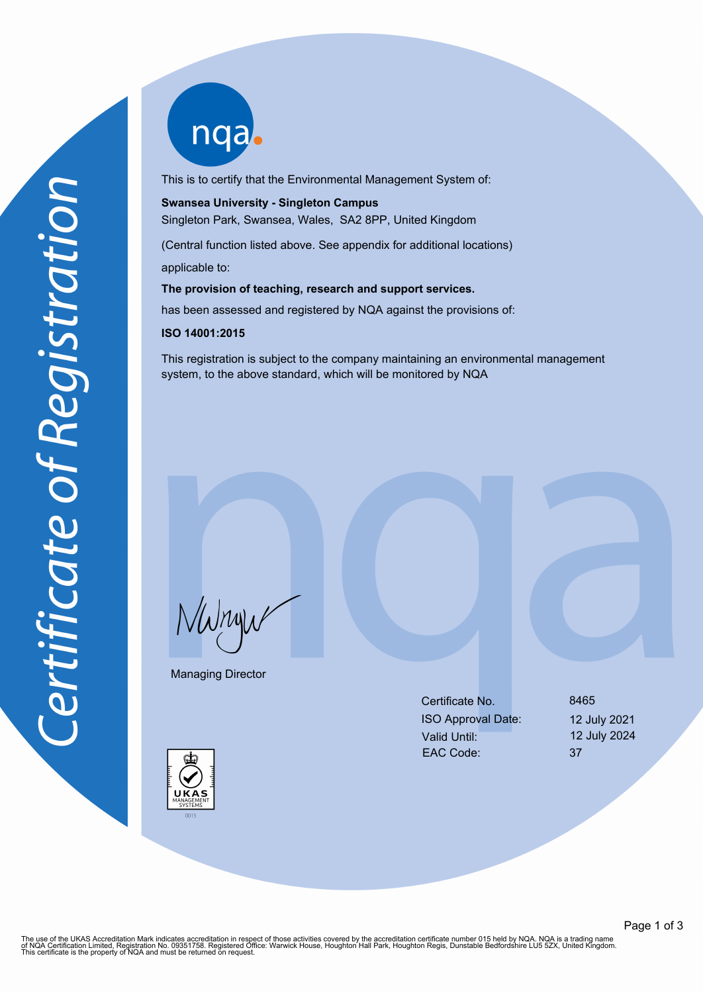nqab

This is to certify that the Environmental Management System of:

# **Swansea University - Singleton Campus**

Singleton Park, Swansea, Wales, SA2 8PP, United Kingdom

(Central function listed above. See appendix for additional locations) applicable to:

**The provision of teaching, research and support services.**

has been assessed and registered by NQA against the provisions of:

#### **ISO 14001:2015**

This registration is subject to the company maintaining an environmental management system, to the above standard, which will be monitored by NQA

NWnyw

Managing Director



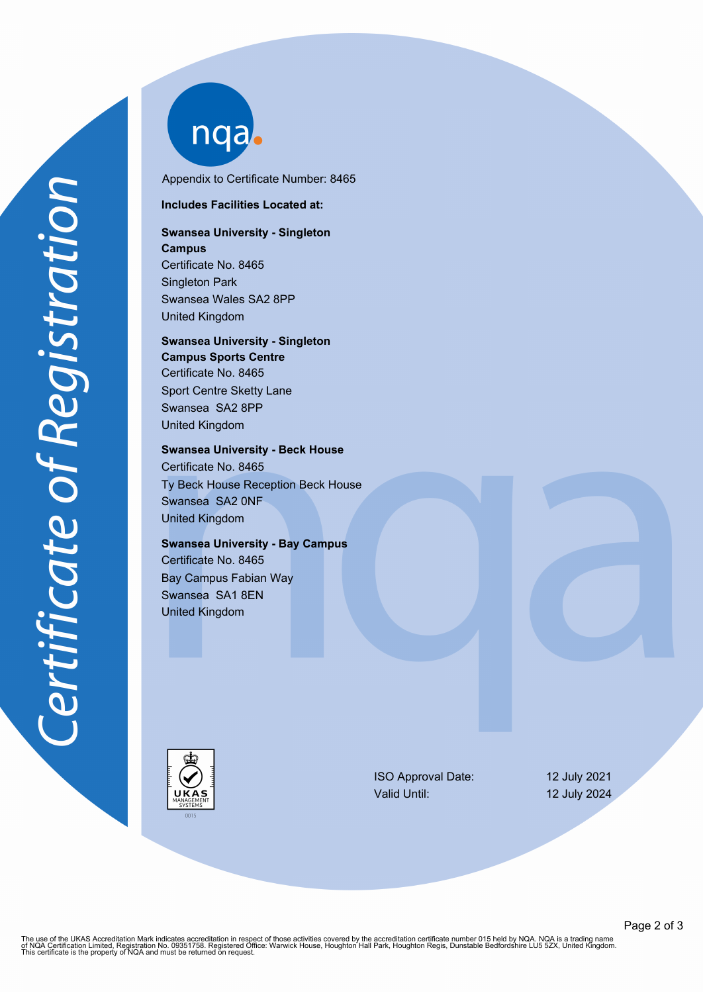nqab

Appendix to Certificate Number: 8465

#### **Includes Facilities Located at:**

# **Swansea University - Singleton Campus** Certificate No. 8465 Singleton Park Swansea Wales SA2 8PP

United Kingdom

## **Swansea University - Singleton Campus Sports Centre** Certificate No. 8465 Sport Centre Sketty Lane Swansea SA2 8PP United Kingdom

**Swansea University - Beck House** Certificate No. 8465 Ty Beck House Reception Beck House Swansea SA2 0NF United Kingdom

### **Swansea University - Bay Campus**

Certificate No. 8465 Bay Campus Fabian Way Swansea SA1 8EN United Kingdom



ISO Approval Date: 12 July 2021 Valid Until: 12 July 2024